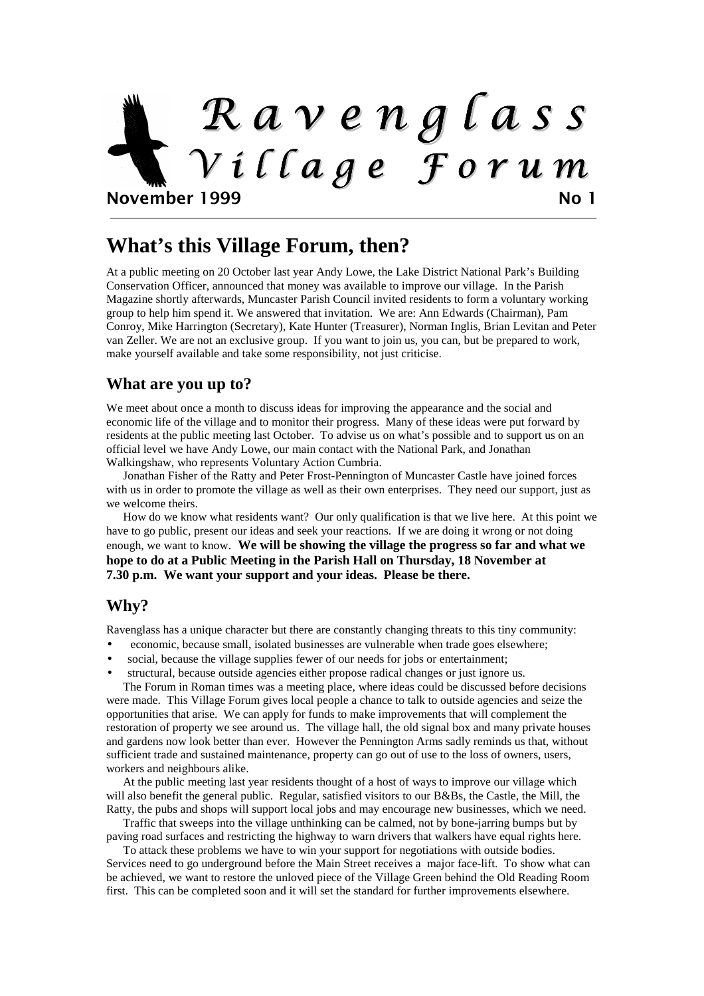# R a v e n g l a s s V i l l a g e F o r u m November 1999 No 1

#### **What's this Village Forum, then?**

At a public meeting on 20 October last year Andy Lowe, the Lake District National Park's Building Conservation Officer, announced that money was available to improve our village. In the Parish Magazine shortly afterwards, Muncaster Parish Council invited residents to form a voluntary working group to help him spend it. We answered that invitation. We are: Ann Edwards (Chairman), Pam Conroy, Mike Harrington (Secretary), Kate Hunter (Treasurer), Norman Inglis, Brian Levitan and Peter van Zeller. We are not an exclusive group. If you want to join us, you can, but be prepared to work, make yourself available and take some responsibility, not just criticise.

#### **What are you up to?**

We meet about once a month to discuss ideas for improving the appearance and the social and economic life of the village and to monitor their progress. Many of these ideas were put forward by residents at the public meeting last October. To advise us on what's possible and to support us on an official level we have Andy Lowe, our main contact with the National Park, and Jonathan Walkingshaw, who represents Voluntary Action Cumbria.

Jonathan Fisher of the Ratty and Peter Frost-Pennington of Muncaster Castle have joined forces with us in order to promote the village as well as their own enterprises. They need our support, just as we welcome theirs.

 How do we know what residents want? Our only qualification is that we live here. At this point we have to go public, present our ideas and seek your reactions. If we are doing it wrong or not doing enough, we want to know. **We will be showing the village the progress so far and what we hope to do at a Public Meeting in the Parish Hall on Thursday, 18 November at 7.30 p.m. We want your support and your ideas. Please be there.** 

#### **Why?**

Ravenglass has a unique character but there are constantly changing threats to this tiny community:

- economic, because small, isolated businesses are vulnerable when trade goes elsewhere;
- social, because the village supplies fewer of our needs for jobs or entertainment;
- structural, because outside agencies either propose radical changes or just ignore us.

The Forum in Roman times was a meeting place, where ideas could be discussed before decisions were made. This Village Forum gives local people a chance to talk to outside agencies and seize the opportunities that arise. We can apply for funds to make improvements that will complement the restoration of property we see around us. The village hall, the old signal box and many private houses and gardens now look better than ever. However the Pennington Arms sadly reminds us that, without sufficient trade and sustained maintenance, property can go out of use to the loss of owners, users, workers and neighbours alike.

 At the public meeting last year residents thought of a host of ways to improve our village which will also benefit the general public. Regular, satisfied visitors to our B&Bs, the Castle, the Mill, the Ratty, the pubs and shops will support local jobs and may encourage new businesses, which we need.

 Traffic that sweeps into the village unthinking can be calmed, not by bone-jarring bumps but by paving road surfaces and restricting the highway to warn drivers that walkers have equal rights here.

 To attack these problems we have to win your support for negotiations with outside bodies. Services need to go underground before the Main Street receives a major face-lift. To show what can be achieved, we want to restore the unloved piece of the Village Green behind the Old Reading Room first. This can be completed soon and it will set the standard for further improvements elsewhere.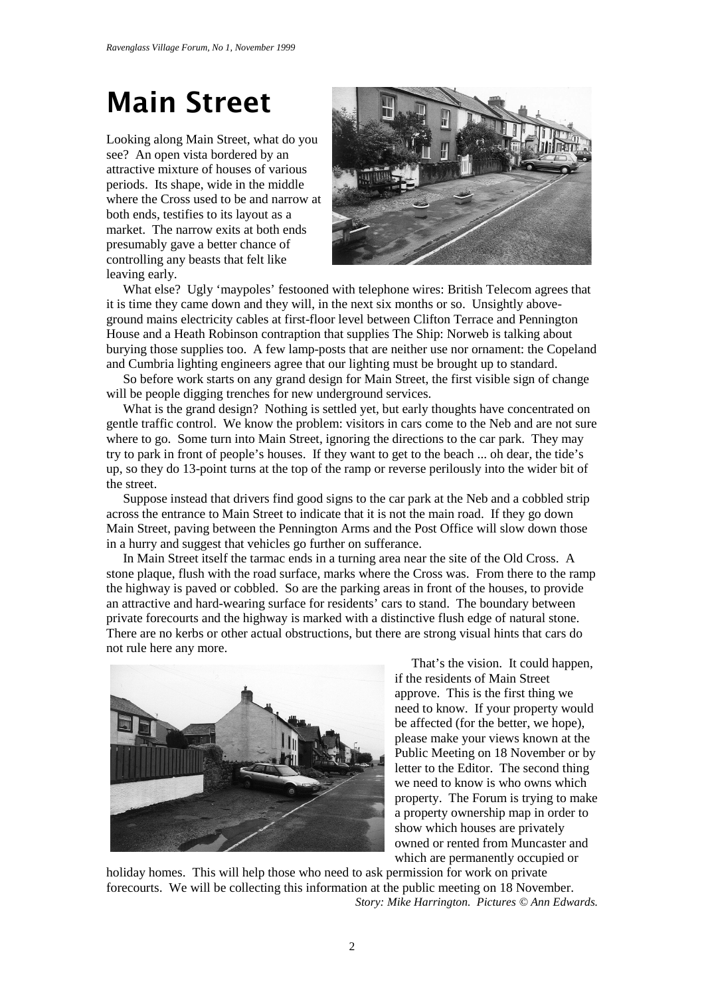## Main Street

Looking along Main Street, what do you see? An open vista bordered by an attractive mixture of houses of various periods. Its shape, wide in the middle where the Cross used to be and narrow at both ends, testifies to its layout as a market. The narrow exits at both ends presumably gave a better chance of controlling any beasts that felt like leaving early.



What else? Ugly 'maypoles' festooned with telephone wires: British Telecom agrees that it is time they came down and they will, in the next six months or so. Unsightly aboveground mains electricity cables at first-floor level between Clifton Terrace and Pennington House and a Heath Robinson contraption that supplies The Ship: Norweb is talking about burying those supplies too. A few lamp-posts that are neither use nor ornament: the Copeland and Cumbria lighting engineers agree that our lighting must be brought up to standard.

So before work starts on any grand design for Main Street, the first visible sign of change will be people digging trenches for new underground services.

What is the grand design? Nothing is settled yet, but early thoughts have concentrated on gentle traffic control. We know the problem: visitors in cars come to the Neb and are not sure where to go. Some turn into Main Street, ignoring the directions to the car park. They may try to park in front of people's houses. If they want to get to the beach ... oh dear, the tide's up, so they do 13-point turns at the top of the ramp or reverse perilously into the wider bit of the street.

Suppose instead that drivers find good signs to the car park at the Neb and a cobbled strip across the entrance to Main Street to indicate that it is not the main road. If they go down Main Street, paving between the Pennington Arms and the Post Office will slow down those in a hurry and suggest that vehicles go further on sufferance.

In Main Street itself the tarmac ends in a turning area near the site of the Old Cross. A stone plaque, flush with the road surface, marks where the Cross was. From there to the ramp the highway is paved or cobbled. So are the parking areas in front of the houses, to provide an attractive and hard-wearing surface for residents' cars to stand. The boundary between private forecourts and the highway is marked with a distinctive flush edge of natural stone. There are no kerbs or other actual obstructions, but there are strong visual hints that cars do not rule here any more.



That's the vision. It could happen, if the residents of Main Street approve. This is the first thing we need to know. If your property would be affected (for the better, we hope), please make your views known at the Public Meeting on 18 November or by letter to the Editor. The second thing we need to know is who owns which property. The Forum is trying to make a property ownership map in order to show which houses are privately owned or rented from Muncaster and which are permanently occupied or

holiday homes. This will help those who need to ask permission for work on private forecourts. We will be collecting this information at the public meeting on 18 November. *Story: Mike Harrington. Pictures © Ann Edwards.*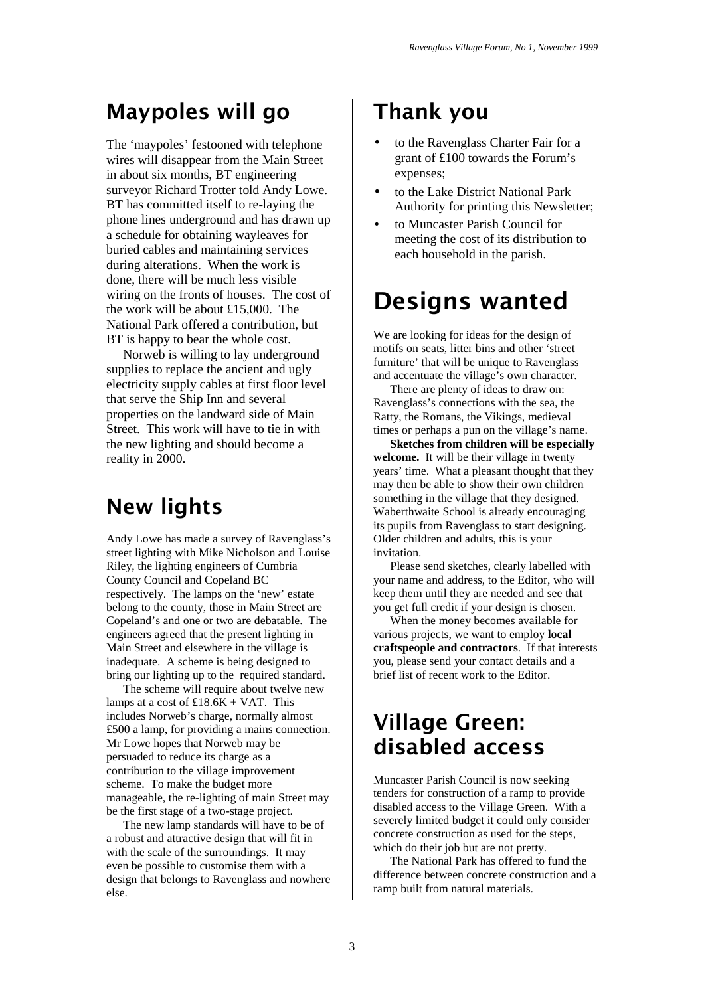### Maypoles will go

The 'maypoles' festooned with telephone wires will disappear from the Main Street in about six months, BT engineering surveyor Richard Trotter told Andy Lowe. BT has committed itself to re-laying the phone lines underground and has drawn up a schedule for obtaining wayleaves for buried cables and maintaining services during alterations. When the work is done, there will be much less visible wiring on the fronts of houses. The cost of the work will be about £15,000. The National Park offered a contribution, but BT is happy to bear the whole cost.

 Norweb is willing to lay underground supplies to replace the ancient and ugly electricity supply cables at first floor level that serve the Ship Inn and several properties on the landward side of Main Street. This work will have to tie in with the new lighting and should become a reality in 2000.

### New lights

Andy Lowe has made a survey of Ravenglass's street lighting with Mike Nicholson and Louise Riley, the lighting engineers of Cumbria County Council and Copeland BC respectively. The lamps on the 'new' estate belong to the county, those in Main Street are Copeland's and one or two are debatable. The engineers agreed that the present lighting in Main Street and elsewhere in the village is inadequate. A scheme is being designed to bring our lighting up to the required standard.

The scheme will require about twelve new lamps at a cost of  $£18.6K + VAT$ . This includes Norweb's charge, normally almost £500 a lamp, for providing a mains connection. Mr Lowe hopes that Norweb may be persuaded to reduce its charge as a contribution to the village improvement scheme. To make the budget more manageable, the re-lighting of main Street may be the first stage of a two-stage project.

The new lamp standards will have to be of a robust and attractive design that will fit in with the scale of the surroundings. It may even be possible to customise them with a design that belongs to Ravenglass and nowhere else.

### Thank you

- to the Ravenglass Charter Fair for a grant of £100 towards the Forum's expenses;
- to the Lake District National Park Authority for printing this Newsletter;
- to Muncaster Parish Council for meeting the cost of its distribution to each household in the parish.

### Designs wanted

We are looking for ideas for the design of motifs on seats, litter bins and other 'street furniture' that will be unique to Ravenglass and accentuate the village's own character.

 There are plenty of ideas to draw on: Ravenglass's connections with the sea, the Ratty, the Romans, the Vikings, medieval times or perhaps a pun on the village's name.

**Sketches from children will be especially welcome.** It will be their village in twenty years' time. What a pleasant thought that they may then be able to show their own children something in the village that they designed. Waberthwaite School is already encouraging its pupils from Ravenglass to start designing. Older children and adults, this is your invitation.

Please send sketches, clearly labelled with your name and address, to the Editor, who will keep them until they are needed and see that you get full credit if your design is chosen.

 When the money becomes available for various projects, we want to employ **local craftspeople and contractors**. If that interests you, please send your contact details and a brief list of recent work to the Editor.

### Village Green: disabled access

Muncaster Parish Council is now seeking tenders for construction of a ramp to provide disabled access to the Village Green. With a severely limited budget it could only consider concrete construction as used for the steps, which do their job but are not pretty.

 The National Park has offered to fund the difference between concrete construction and a ramp built from natural materials.